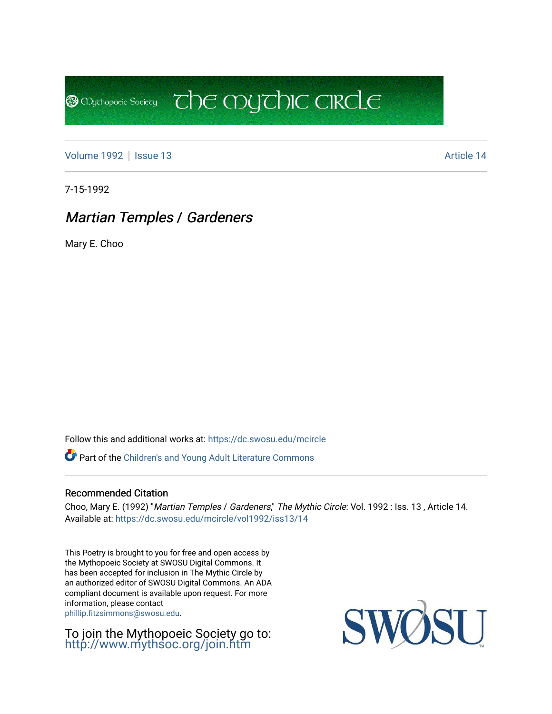[Volume 1992](https://dc.swosu.edu/mcircle/vol1992) | [Issue 13](https://dc.swosu.edu/mcircle/vol1992/iss13) Article 14

**@** Mychopoeic Sociecy

7-15-1992

# Martian Temples / Gardeners

Mary E. Choo

Follow this and additional works at: [https://dc.swosu.edu/mcircle](https://dc.swosu.edu/mcircle?utm_source=dc.swosu.edu%2Fmcircle%2Fvol1992%2Fiss13%2F14&utm_medium=PDF&utm_campaign=PDFCoverPages) 

Part of the [Children's and Young Adult Literature Commons](http://network.bepress.com/hgg/discipline/1289?utm_source=dc.swosu.edu%2Fmcircle%2Fvol1992%2Fiss13%2F14&utm_medium=PDF&utm_campaign=PDFCoverPages) 

#### Recommended Citation

Choo, Mary E. (1992) "Martian Temples / Gardeners," The Mythic Circle: Vol. 1992 : Iss. 13, Article 14. Available at: [https://dc.swosu.edu/mcircle/vol1992/iss13/14](https://dc.swosu.edu/mcircle/vol1992/iss13/14?utm_source=dc.swosu.edu%2Fmcircle%2Fvol1992%2Fiss13%2F14&utm_medium=PDF&utm_campaign=PDFCoverPages) 

 $\overline{c}$  the mychic circle

This Poetry is brought to you for free and open access by the Mythopoeic Society at SWOSU Digital Commons. It has been accepted for inclusion in The Mythic Circle by an authorized editor of SWOSU Digital Commons. An ADA compliant document is available upon request. For more information, please contact [phillip.fitzsimmons@swosu.edu](mailto:phillip.fitzsimmons@swosu.edu).

To join the Mythopoeic Society go to: <http://www.mythsoc.org/join.htm>

SWO **STT**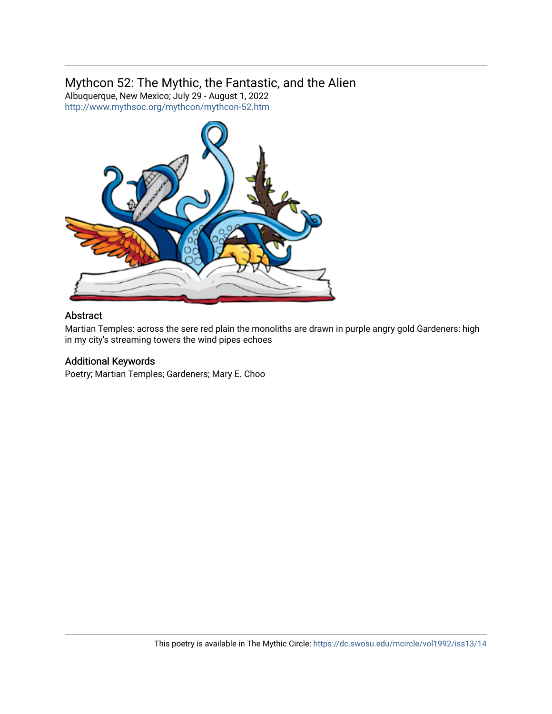## Mythcon 52: The Mythic, the Fantastic, and the Alien

Albuquerque, New Mexico; July 29 - August 1, 2022 <http://www.mythsoc.org/mythcon/mythcon-52.htm>



#### Abstract

Martian Temples: across the sere red plain the monoliths are drawn in purple angry gold Gardeners: high in my city's streaming towers the wind pipes echoes

### Additional Keywords

Poetry; Martian Temples; Gardeners; Mary E. Choo